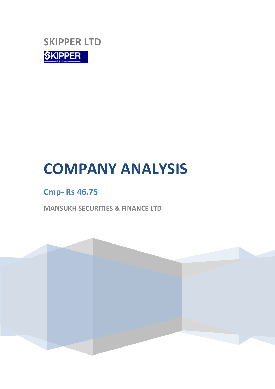

## **Cmp- Rs 46.75**

**MANSUKH SECURITIES & FINANCE LTD**

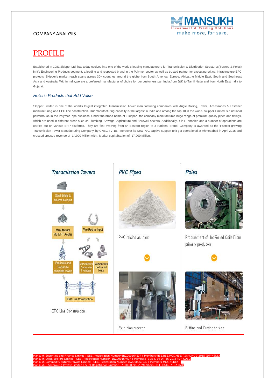

### PROFILE

Established in 1981,Skipper Ltd. has today evolved into one of the world's leading manufacturers for Transmission & Distribution Structures(Towers & Poles) in it's Engineering Products segment, a leading and respected brand in the Polymer sector as well as trusted partner for executing critical Infrastructure EPC projects. Skipper's market reach spans across 30+ countries around the globe from South America, Europe, Africa,the Middle East, South and Southeast Asia and Australia. Within India,we are a preferred manufacturer of choice for our customers pan India,from J&K to Tamil Nadu and from North East India to Gujarat.

#### *Holistic Products that Add Value*

Skipper Limited is one of the world's largest integrated Transmission Tower manufacturing companies with Angle Rolling, Tower, Accessories & Fastener manufacturing and EPC line construction. Our manufacturing capacity is the largest in India and among the top 10 in the world. Skipper Limited is a national powerhouse in the Polymer Pipe business. Under the brand name of 'Skipper', the company manufactures huge range of premium quality pipes and fittings, which are used in different areas such as Plumbing, Sewage, Agriculture and Borewell sectors. Additionally, it is IT enabled and a number of operations are carried out on various ERP platforms. They are fast evolving from an Eastern region to a National Brand. Company is awarded as the 'Fastest growing Transmission Tower Manufacturing Company' by CNBC TV-18. Moreover its New PVC captive support unit got operational at Ahmedabad in April 2015 and crossed crossed revenue of 14,000 Million with . Market capitalisation of 17,900 Million.



Poles



Procurement of Hot Rolled Coils From primary producers





Slitting and Cutting to size

Mansukh Securities and Finance Limited : SEBI Registration Number-INZ000164537 ( Members-NSE,BSE,MCX,MSEI ),IN-DP-72-2015 (DP-NSDL)  $-BSE$ ), IN-DP-36-2015 Registration Numb Mansukh IFSC Broking Private Limited : SEBI Registration Number- INZ000099432 (Members- NSE IFSC, INDIA INX)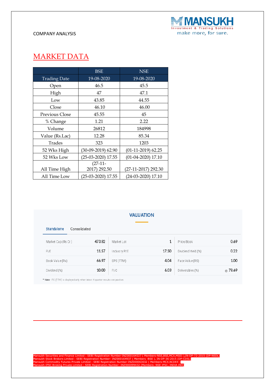

### MARKET DATA

|                     | BSE                  | <b>NSE</b>           |  |
|---------------------|----------------------|----------------------|--|
| <b>Trading Date</b> | 19-08-2020           | 19-08-2020           |  |
| Open                | 46.5                 | 45.5                 |  |
| High                | 47                   | 47.1                 |  |
| Low                 | 43.85                | 44.55                |  |
| Close               | 46.10                | 46.00                |  |
| Previous Close      | 45.55                | 45                   |  |
| % Change            | 1.21                 | 2.22                 |  |
| Volume              | 26812                | 184998               |  |
| Value (Rs.Lac)      | 12.28                | 85.34                |  |
| Trades              | 323                  | 1203                 |  |
| 52 Wks High         | $(30-09-2019)$ 62.90 | $(01-11-2019)$ 62.25 |  |
| 52 Wks Low          | $(25-03-2020)$ 17.55 | $(01-04-2020)$ 17.10 |  |
|                     | $(27-11-$            |                      |  |
| All Time High       | 2017) 292.50         | (27-11-2017) 292.30  |  |
| All Time Low        | (25-03-2020) 17.55   | (24-03-2020) 17.10   |  |

### **VALUATION**

| Consolidated |              |       |                    |         |
|--------------|--------------|-------|--------------------|---------|
| 473.82       | Market Lot   |       | Price/Book         | 0.69    |
| 11.57        | Industry P/E | 17.50 | Dividend Yield.(%) | 0.22    |
| 66.97        | EPS (TTM)    | 4.04  | Face Value (RS)    | 1.00    |
| 10.00        | P/C          | 6.03  | Deliverables (%)   | ◎ 78.69 |
|              |              |       |                    |         |

\* Note - P.E (TTM) is displayed only when latest 4 quarter results are positive.

Mansukh Securities and Finance Limited : SEBI Registration Number-INZ000164537 ( Members-NSE,BSE,MCX,MSEI ),IN-DP-72-2015 (DP-NSDL)<br>Mansukh Stock Brokers Limited : SEBI Registration Number- INZ000164937 ( Members -BSE ), I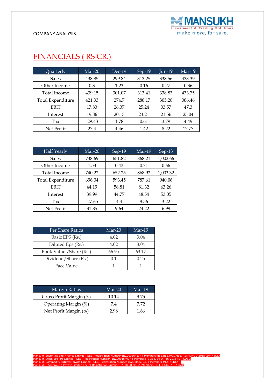

### FINANCIALS ( RS CR.)

| Quarterly                | $Mar-20$ | $Dec-19$ | Sep-19 | <b>Jun-19</b> | Mar-19 |
|--------------------------|----------|----------|--------|---------------|--------|
| <b>Sales</b>             | 438.85   | 299.84   | 313.25 | 338.56        | 433.39 |
| Other Income             | 0.3      | 1.23     | 0.16   | 0.27          | 0.36   |
| Total Income             | 439.15   | 301.07   | 313.41 | 338.83        | 433.75 |
| <b>Total Expenditure</b> | 421.33   | 274.7    | 288.17 | 305.28        | 386.46 |
| <b>EBIT</b>              | 17.83    | 26.37    | 25.24  | 33.57         | 47.3   |
| Interest                 | 19.86    | 20.13    | 23.21  | 21.56         | 25.04  |
| Tax                      | $-29.43$ | 1.78     | 0.61   | 3.79          | 4.49   |
| Net Profit               | 27.4     | 4.46     | 1.42   | 8.22          | 17.77  |

| <b>Half Yearly</b>       | $Mar-20$ | Sep-19 | $Mar-19$ | Sep-18   |
|--------------------------|----------|--------|----------|----------|
| <b>Sales</b>             | 738.69   | 651.82 | 868.21   | 1,002.66 |
| Other Income             | 1.53     | 0.43   | 0.71     | 0.66     |
| Total Income             | 740.22   | 652.25 | 868.92   | 1,003.32 |
| <b>Total Expenditure</b> | 696.04   | 593.45 | 787.61   | 940.06   |
| <b>EBIT</b>              | 44.19    | 58.81  | 81.32    | 63.26    |
| Interest                 | 39.99    | 44.77  | 48.54    | 53.05    |
| Tax                      | $-27.65$ | 4.4    | 8.56     | 3.22     |
| Net Profit               | 31.85    | 9.64   | 24.22    | 6.99     |

| Per Share Ratios         | $Mar-20$ | Mar-19 |
|--------------------------|----------|--------|
| Basic EPS (Rs.)          | 4.02     | 3.04   |
| Diluted Eps (Rs.)        | 4.02     | 3.04   |
| Book Value / Share (Rs.) | 66.95    | 63.17  |
| Dividend/Share (Rs.)     | 0.1      | 0.25   |
| Face Value               |          |        |

| Margin Ratios           | $Mar-20$ | Mar-19 |  |
|-------------------------|----------|--------|--|
| Gross Profit Margin (%) | 10.14    | 9.75   |  |
| Operating Margin (%)    | 7.4      | 7 72   |  |
| Net Profit Margin (%)   | 2 98     | 1 66   |  |

Mansukh Securities and Finance Limited : SEBI Registration Number-INZ000164537 ( Members-NSE,BSE,MCX,MSEI ),IN-DP-72-2015 (DP-NSDL)<br>Mansukh Stock Brokers Limited : SEBI Registration Number- INZ000164937 ( Members -BSE ), I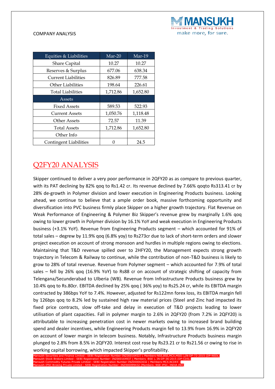

| Equities & Liabilities        | $Mar-20$ | Mar-19   |
|-------------------------------|----------|----------|
| <b>Share Capital</b>          | 10.27    | 10.27    |
| Reserves & Surplus            | 677.06   | 638.34   |
| <b>Current Liabilities</b>    | 826.89   | 777.58   |
| <b>Other Liabilities</b>      | 198.64   | 226.61   |
| <b>Total Liabilities</b>      | 1,712.86 | 1,652.80 |
| Assets                        |          |          |
| <b>Fixed Assets</b>           | 589.53   | 522.93   |
| <b>Current Assets</b>         | 1,050.76 | 1,118.48 |
| Other Assets                  | 72.57    | 11.39    |
| <b>Total Assets</b>           | 1,712.86 | 1,652.80 |
| Other Info                    |          |          |
| <b>Contingent Liabilities</b> |          | 24.5     |

### Q2FY20 ANALYSIS

Skipper continued to deliver a very poor performance in 2QFY20 as as compare to previous quarter, with its PAT declining by 82% qoq to Rs1.42 cr. Its revenue declined by 7.66% qoqto Rs313.41 cr by 28% de-growth in Polymer division and lower execution in Engineering Products business. Looking ahead, we continue to believe that a ample order book, massive forthcoming opportunity and diversification into PVC business firmly place Skipper on a higher growth trajectory. Flat Revenue on Weak Performance of Engineering & Polymer Biz Skipper's revenue grew by marginally 1.6% qoq owing to lower growth in Polymer division by 16.1% YoY and weak execution in Engineering Products business (+3.1% YoY). Revenue from Engineering Products segment – which accounted for 91% of total sales – degrew by 11.9% qoq (6.8% yoy) to Rs273cr due to lack of short-term orders and slower project execution on account of strong monsoon and hurdles in multiple regions owing to elections. Maintaining that T&D revenue spilled over to 2HFY20, the Management expects strong growth trajectory in Telecom & Railway to continue, while the contribution of non-T&D business is likely to grow to 28% of total revenue. Revenue from Polymer segment – which accounted for 7.9% of total sales – fell by 26% qoq (16.9% YoY) to Rs88 cr on account of strategic shifting of capacity from Telengana/Secunderabad to Ulberia (WB). Revenue from Infrastructure Products business grew by 10.4% qoq to Rs.80cr. EBITDA declined by 25% qoq ( 36% yoy) to Rs25.24 cr, while its EBITDA margin contracted by 386bps YoY to 7.4%. However, adjusted for Rs122mn forex loss, its EBITDA margin fell by 126bps qoq to 8.2% led by sustained high raw material prices (Steel and Zinc had impacted its fixed price contracts, slow off-take and delay in execution of T&D projects leading to lower utilisation of plant capacities. Fall in polymer margin to 2.6% in 2QFY20 (from 7.2% in 2QFY20) is attributable to increasing penetration cost in newer markets owing to increased brand building spend and dealer incentives, while Engineering Products margin fell to 13.9% from 16.9% in 2QFY20 on account of lower margin in telecom business. Notably, Infrastructure Products business margin plunged to 2.8% from 8.5% in 2QFY20. Interest cost rose by Rs23.21 cr to Rs21.56 cr owing to rise in working capital borrowing, which impacted Skipper's profitability.

Manurities and Finance Limited : SEBI Registration Number-INZ000164537 (Members-NSE,BSE,MCX,MSEI ),IN-DP-72-2015 (DP-NSDL)<br>Stock Brokers Limited : SEBI Bogistration Number-JNZ000164937 (Members-BSE.), IN-DR-36-2015 (DR-CDS mansur- Inzia 837 ( Member - INZ000164937 ( Members - India 8 **Manusdity Futures II Registration Number** Mansukh IFSC Broking Private Limited : SEBI Registration Number- INZ000099432 (Members- NSE IFSC, INDIA INX)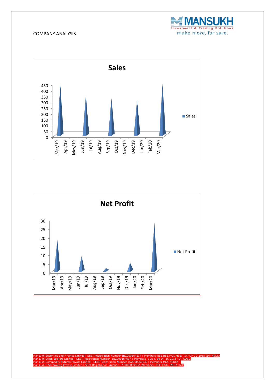





Mansukh Securities and Finance Limited : SEBI Registration Number-INZ000164537 ( Members-NSE,BSE,MCX,MSEI ),IN-DP-72-2015 (DP-NSDL)<br>Mansukh Stock Brokers Limited : SEBI Registration Number- INZ000164937 ( Members -BSE ), I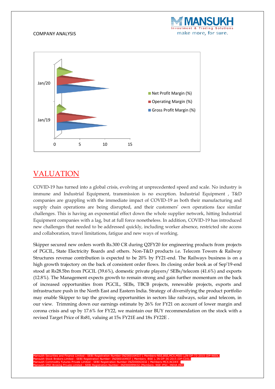



### VALUATION

COVID-19 has turned into a global crisis, evolving at unprecedented speed and scale. No industry is immune and Industrial Equipment, transmission is no exception. Industrial Equipment , T&D companies are grappling with the immediate impact of COVID-19 as both their manufacturing and supply chain operations are being disrupted, and their customers' own operations face similar challenges. This is having an exponential effect down the whole supplier network, hitting Industrial Equipment companies with a lag, but at full force nonetheless. In addition, COVID-19 has introduced new challenges that needed to be addressed quickly, including worker absence, restricted site access and collaboration, travel limitations, fatigue and new ways of working.

Skipper secured new orders worth Rs.300 CR during Q2FY20 for engineering products from projects of PGCIL, State Electricity Boards and others. Non-T&D products i.e. Telecom Towers & Railway Structures revenue contribution is expected to be 20% by FY21-end. The Railways business is on a high growth trajectory on the back of consistent order flows. Its closing order book as of Sep'19-end stood at Rs28.5bn from PGCIL (39.6%), domestic private players/ SEBs/telecom (41.6%) and exports (12.8%). The Management expects growth to remain strong and gain further momentum on the back of increased opportunities from PGCIL, SEBs, TBCB projects, renewable projects, exports and infrastructure push in the North East and Eastern India. Strategy of diversifying the product portfolio may enable Skipper to tap the growing opportunities in sectors like railways, solar and telecom, in our view. Trimming down our earnings estimate by 26% for FY21 on account of lower margin and corona crisis and up by 17.6% for FY22, we maintain our BUY recommendation on the stock with a revised Target Price of Rs81, valuing at 15x FY21E and 18x FY22E .

Mansukh Securities and Finance Limited : SEBI Registration Number-INZ000164537 ( Members-NSE,BSE,MCX,MSEI ),IN-DP-72-2015 (DP-NSDL) Mansukh Stock Brokers Limited : SEBI Registration Number- INZ000164937 ( Members -BSE ), IN-DP-36-2015 (DP-CDSL) Mansukh Commodity Futures Private Limited : SEBI Registration Number-INZ000063032 ( Members-MCX,NCDEX ) Mansukh IFSC Broking Private Limited : SEBI Registration Number- INZ000099432 (Members- NSE IFSC, INDIA INX)